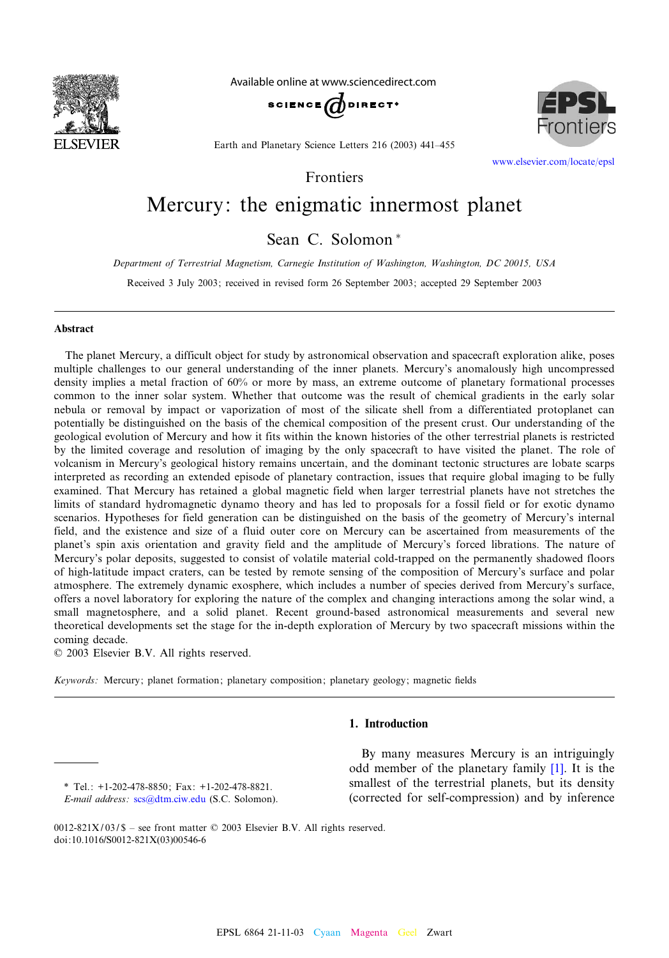

Available online at www.sciencedirect.com





www.elsevier.com/locate/epsl

Earth and Planetary Science Letters 216 (2003) 441-455

Frontiers

# Mercury: the enigmatic innermost planet

Sean C. Solomon

Department of Terrestrial Magnetism, Carnegie Institution of Washington, Washington, DC 20015, USA

Received 3 July 2003; received in revised form 26 September 2003; accepted 29 September 2003

# Abstract

The planet Mercury, a difficult object for study by astronomical observation and spacecraft exploration alike, poses multiple challenges to our general understanding of the inner planets. Mercury's anomalously high uncompressed density implies a metal fraction of 60% or more by mass, an extreme outcome of planetary formational processes common to the inner solar system. Whether that outcome was the result of chemical gradients in the early solar nebula or removal by impact or vaporization of most of the silicate shell from a differentiated protoplanet can potentially be distinguished on the basis of the chemical composition of the present crust. Our understanding of the geological evolution of Mercury and how it fits within the known histories of the other terrestrial planets is restricted by the limited coverage and resolution of imaging by the only spacecraft to have visited the planet. The role of volcanism in Mercury's geological history remains uncertain, and the dominant tectonic structures are lobate scarps interpreted as recording an extended episode of planetary contraction, issues that require global imaging to be fully examined. That Mercury has retained a global magnetic field when larger terrestrial planets have not stretches the limits of standard hydromagnetic dynamo theory and has led to proposals for a fossil field or for exotic dynamo scenarios. Hypotheses for field generation can be distinguished on the basis of the geometry of Mercury's internal field, and the existence and size of a fluid outer core on Mercury can be ascertained from measurements of the planet's spin axis orientation and gravity field and the amplitude of Mercury's forced librations. The nature of Mercury's polar deposits, suggested to consist of volatile material cold-trapped on the permanently shadowed floors of high-latitude impact craters, can be tested by remote sensing of the composition of Mercury's surface and polar atmosphere. The extremely dynamic exosphere, which includes a number of species derived from Mercury's surface, offers a novel laboratory for exploring the nature of the complex and changing interactions among the solar wind, a small magnetosphere, and a solid planet. Recent ground-based astronomical measurements and several new theoretical developments set the stage for the in-depth exploration of Mercury by two spacecraft missions within the coming decade.

 $© 2003 Elsevier B.V. All rights reserved.$ 

Keywords: Mercury; planet formation; planetary composition; planetary geology; magnetic fields

# 1. Introduction

\* Tel.: +1-202-478-8850; Fax: +1-202-478-8821.

By many measures Mercury is an [int](#page-11-0)riguingly odd member of the planetary family [1]. It is the smallest of the terrestrial planets, but its density (corrected for self-compression) and by inference

E-mail address: scs@dtm.ciw.edu (S.C. Solomon).

 $0012-821X/03/\$$  – see front matter  $\degree$  2003 Elsevier B.V. All rights reserved. doi:10.1016/S0012-821X(03)00546-6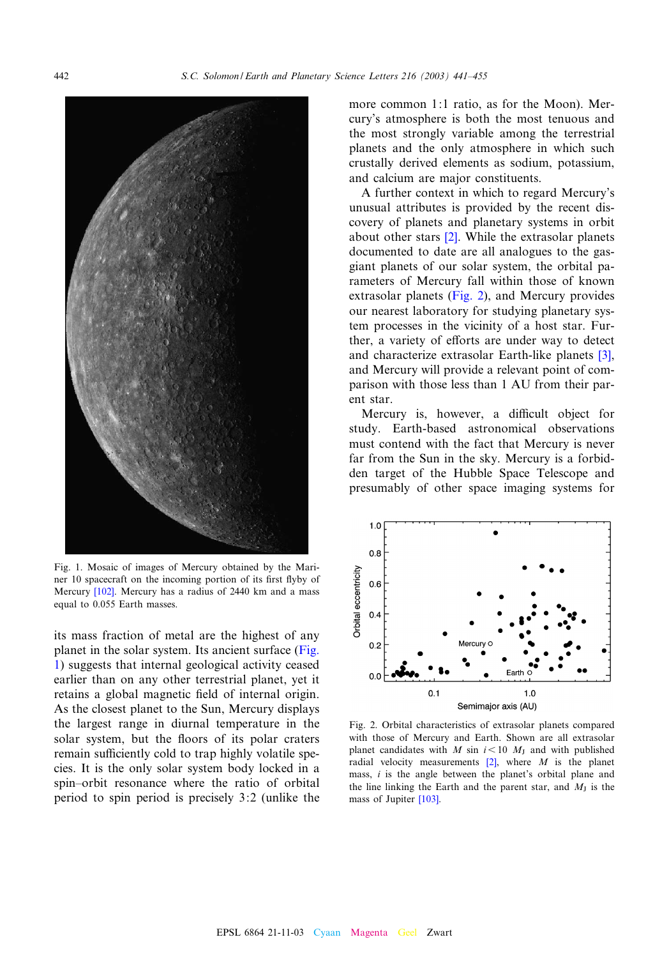

Fig. 1. [Mosaic](#page-14-0) of images of Mercury obtained by the Mariner 10 spacecraft on the incoming portion of its first flyby of Mercury [102]. Mercury has a radius of 2440 km and a mass equal to 0.055 Earth masses.

its mass fraction of metal are the highest of any planet in the solar system. Its ancient surface (Fig. 1) suggests that internal geological activity ceased earlier than on any other terrestrial planet, yet it retains a global magnetic field of internal origin. As the closest planet to the Sun, Mercury displays the largest range in diurnal temperature in the solar system, but the floors of its polar craters remain sufficiently cold to trap highly volatile species. It is the only solar system body locked in a spin-orbit resonance where the ratio of orbital period to spin period is precisely 3:2 (unlike the more common 1:1 ratio, as for the Moon). Mercury's atmosphere is both the most tenuous and the most strongly variable among the terrestrial planets and the only atmosphere in which such crustally derived elements as sodium, potassium, and calcium are major constituents.

A further context in which to regard Mercury's unusual attribute[s is](#page-11-0) provided by the recent discovery of planets and planetary systems in orbit about other stars [2]. While the extrasolar planets documented to date are all analogues to the gasgiant planets of our solar system, the orbital parameters of Mercury fall within those of known extrasolar planets (Fig. 2), and Mercury provides our nearest laboratory for studying planetary system processes in the vicinity of a host star. [Fur](#page-11-0)ther, a variety of efforts are under way to detect and characterize extrasolar Earth-like planets [3], and Mercury will provide a relevant point of comparison with those less than 1 AU from their parent star.

Mercury is, however, a difficult object for study. Earth-based astronomical observations must contend with the fact that Mercury is never far from the Sun in the sky. Mercury is a forbidden target of the Hubble Space Telescope and presumably of other space imaging systems for



Fig. 2. Orbital characteristics of extrasolar planets compared with those of Mercury and Ea[rth](#page-11-0). Shown are all extrasolar planet candidates with M sin  $i < 10$  M<sub>J</sub> and with published radial velocity measurements  $[2]$ , where *M* is the planet mass, i is the [angle](#page-14-0) between the planet's orbital plane and the line linking the Earth and the parent star, and  $M_J$  is the mass of Jupiter [103].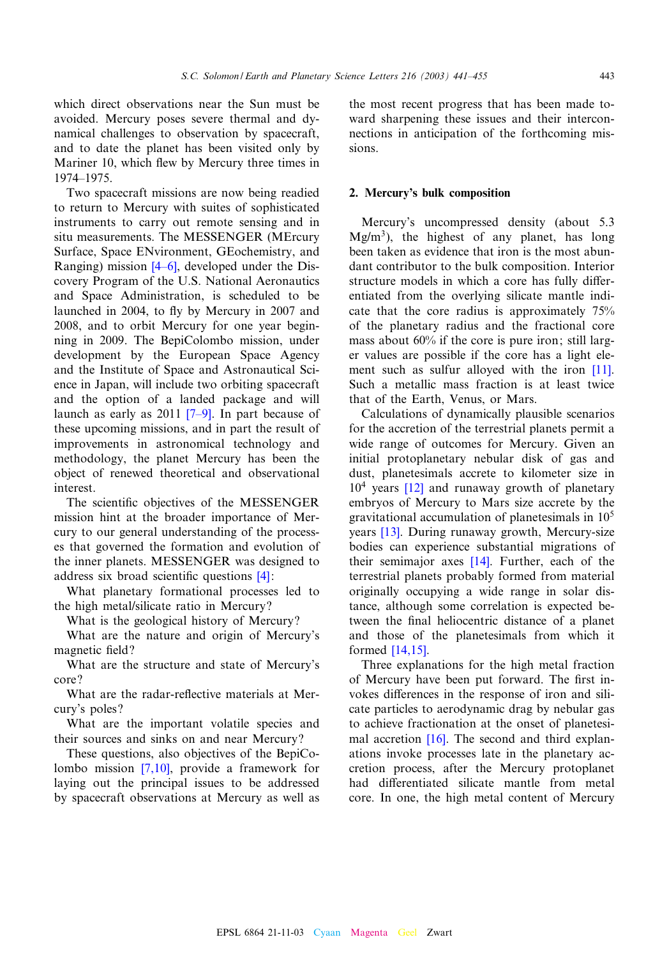which direct observations near the Sun must be avoided. Mercury poses severe thermal and dynamical challenges to observation by spacecraft, and to date the planet has been visited only by Mariner 10, which flew by Mercury three times in 1974^1975.

Two spacecraft missions are now being readied to return to Mercury with suites of sophisticated instruments to carry out remote sensing and in situ measurement[s. The](#page-11-0) MESSENGER (MErcury Surface, Space ENvironment, GEochemistry, and Ranging) mission  $[4-6]$ , developed under the Discovery Program of the U.S. National Aeronautics and Space Administration, is scheduled to be launched in 2004, to fly by Mercury in 2007 and 2008, and to orbit Mercury for one year beginning in 2009. The BepiColombo mission, under development by the European Space Agency and the Institute of Space and Astronautical Science in Japan, will inclu[de two](#page-11-0) orbiting spacecraft and the option of a landed package and will launch as early as  $2011$   $[7-9]$ . In part because of these upcoming missions, and in part the result of improvements in astronomical technology and methodology, the planet Mercury has been the object of renewed theoretical and observational interest.

The scientific objectives of the MESSENGER mission hint at the broader importance of Mercury to our general understanding of the processes that governed the formation and [evo](#page-11-0)lution of the inner planets. MESSENGER was designed to address six broad scientific questions  $[4]$ :

What planetary formational processes led to the high metal/silicate ratio in Mercury ?

What is the geological history of Mercury?

What are the nature and origin of Mercury's magnetic field?

What are the structure and state of Mercury's core ?

What are the radar-reflective materials at Mercury's poles ?

What are the important volatile species and their sources an[d sink](#page-11-0)s on and near Mercury?

These questions, also objectives of the BepiColombo mission [7,10], provide a framework for laying out the principal issues to be addressed by spacecraft observations at Mercury as well as

the most recent progress that has been made toward sharpening these issues and their interconnections in anticipation of the forthcoming missions.

#### 2. Mercury's bulk composition

Mercury's uncompressed density (about 5.3  $Mg/m<sup>3</sup>$ ), the highest of any planet, has long been taken as evidence that iron is the most abundant contributor to the bulk composition. Interior structure models in which a core has fully differentiated from the overlying silicate mantle indicate that the core radius is approximately 75% of the planetary radius and the fractional core mass about 60% if the core is pure iron; still [larg](#page-12-0)er values are possible if the core has a light element such as sulfur alloyed with the iron [11]. Such a metallic mass fraction is at least twice that of the Earth, Venus, or Mars.

Calculations of dynamically plausible scenarios for the accretion of the terrestrial planets permit a wide range of outcomes for Mercury. Given an initial pr[otopl](#page-12-0)anetary nebular disk of gas and dust, planetesimals accrete to kilometer size in  $10<sup>4</sup>$  years  $[12]$  and runaway growth of planetary embr[yos o](#page-12-0)f Mercury to Mars size accrete by the gravitational accumulation of planetesimals in  $10<sup>5</sup>$ years [13]. During run[awa](#page-12-0)y growth, Mercury-size bodies can experience substantial migrations of their semimajor axes [14]. Further, each of the terrestrial planets probably formed from material originally occupying a wide range in solar distance, although some correlation is expected between the final heliocentric distance of a planet and those of the planetesimals from which it formed [14,15].

Three explanations for the high metal fraction of Mercury have been put forward. The first invokes differences in the response of iron and silicate particles t[o ae](#page-12-0)rodynamic drag by nebular gas to achieve fractionation at the onset of planetesimal accretion [16]. The second and third explanations invoke processes late in the planetary accretion process, after the Mercury protoplanet had differentiated silicate mantle from metal core. In one, the high metal content of Mercury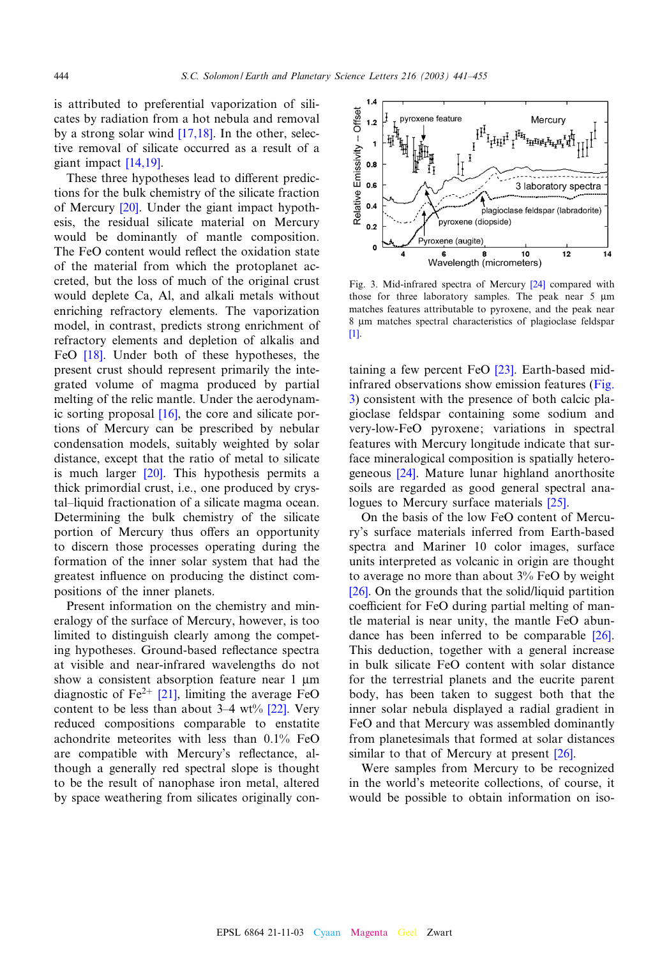is attributed to prefer[ential v](#page-12-0)aporization of silicates by radiation from a hot nebula and removal by a strong s[olar win](#page-12-0)d  $[17,18]$ . In the other, selective removal of silicate occurred as a result of a giant impact [14,19].

These thr[ee hy](#page-12-0)potheses lead to different predictions for the bulk chemistry of the silicate fraction of Mercury [20]. Under the giant impact hypothesis, the residual silicate material on Mercury would be dominantly of mantle composition. The FeO content would reflect the oxidation state of the material from which the protoplanet accreted, but the loss of much of the original crust would deplete Ca, Al, and alkali metals without enriching refractory elements. The vaporization mode[l, in](#page-12-0) contrast, predicts strong enrichment of refractory elements and depletion of alkalis and FeO [18]. Under both of these hypotheses, the present crust should represent primarily the integrated volume of [mag](#page-12-0)ma produced by partial melting of the relic mantle. Under the aerodynamic sorting proposal  $[16]$ , the core and silicate portions of Mercury can be prescribed by nebular condensation m[odels](#page-12-0), suitably weighted by solar distance, except that the ratio of metal to silicate is much larger [20]. This hypothesis permits a thick primordial crust, i.e., one produced by crystal^liquid fractionation of a silicate magma ocean. Determining the bulk chemistry of the silicate portion of Mercury thus offers an opportunity to discern those processes operating during the formation of the inner solar system that had the greatest influence on producing the distinct compositions of the inner planets.

Present information on the chemistry and mineralogy of the surface of Mercury, however, is too limited to distinguish clearly among the competing hypotheses. Ground-based reflectance spectra at visible and nea[r-inf](#page-12-0)rared wavelengths do not show a consistent absorption feature [near](#page-12-0)  $1 \mu m$ diagnostic of Fe<sup>2+</sup> [21], limiting the average FeO content to be less than about  $3-4$  wt% [22]. Very reduced compositions comparable to enstatite achondrite meteorites with less than 0.1% FeO are compatible with Mercury's reflectance, although a generally red spectral slope is thought to be the result of nanophase iron metal, altered by space weathering from silicates originally con-



Fig. 3. Mid-infrared spectra of Mercury [24] compared with those for three laboratory samples. The peak near 5  $\mu$ m [ma](#page-11-0)tches features attributable to pyroxene, and the peak near 8 µm matches spectral characteristics of plagioclase feldspar [1].

taining a few percent FeO [23]. Earth-based midinfrared observations show emission features (Fig. 3) consistent with the presence of both calcic plagioclase feldspar containing some sodium and very-low-FeO pyroxene; variations in spectral features [with](#page-12-0) Mercury longitude indicate that surface mineralogical composition is spatially heterogeneous [24]. Mature lunar highlan[d an](#page-12-0)orthosite soils are regarded as good general spectral analogues to Mercury surface materials [25].

On the basis of the low FeO content of Mercury's surface materials inferred from Earth-based spectra and Mariner 10 color images, surface [unit](#page-12-0)s interpreted as volcanic in origin are thought to average no more than about 3% FeO by weight [26]. On the grounds that the solid/liquid partition coefficient for FeO during partial melting of [man](#page-12-0)tle material is near unity, the mantle FeO abundance has been inferred to be comparable [26]. This deduction, together with a general increase in bulk silicate FeO content with solar distance for the terrestrial planets and the eucrite parent body, has been taken to suggest both that the inner solar nebula displayed a radial gradient in FeO and that Mercury was assembled [dom](#page-12-0)inantly from planetesimals that formed at solar distances similar to that of Mercury at present [26].

Were samples from Mercury to be recognized in the world's meteorite collections, of course, it would be possible to obtain information on iso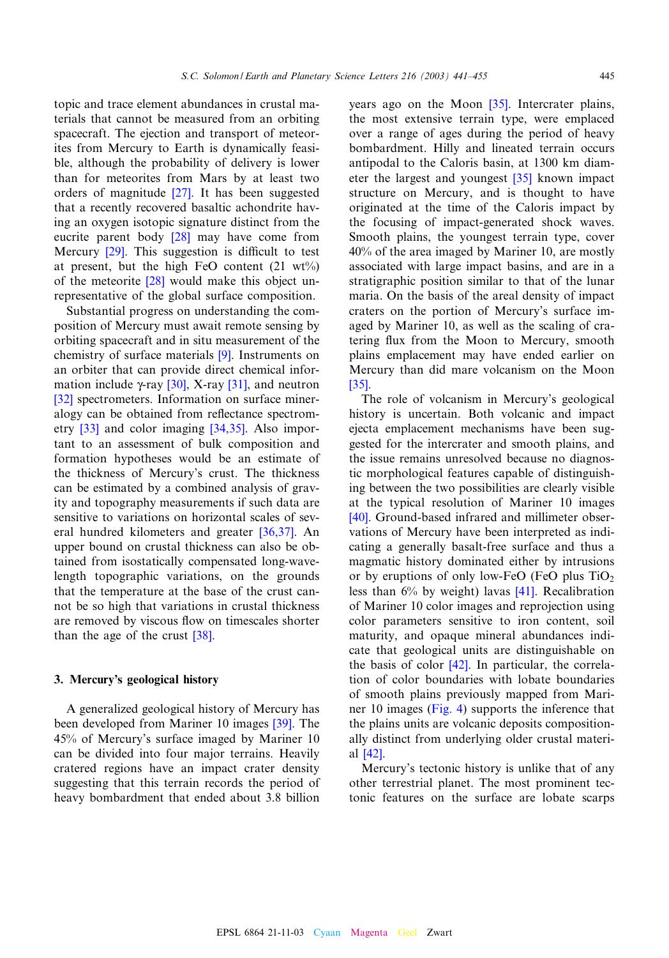topic and trace element abundances in crustal materials that cannot be measured from an orbiting spacecraft. The ejection and transport of meteorites from Mercury to Earth is dynamically feasible, although the pro[babi](#page-12-0)lity of delivery is lower than for meteorites from Mars by at least two orders of magnitude [27]. It has been suggested that a recently recove[red](#page-12-0) basaltic achondrite having an ox[ygen](#page-12-0) isotopic signature distinct from the eucrite parent body [28] may have come from Mercury  $[29]$ . T[his s](#page-12-0)uggestion is difficult to test at present, but the high FeO content  $(21 \text{ wt})$ of the meteorite [28] would make this object unrepresentative of the global surface composition.

Substantial progress on understanding the composition of Mercury must awai[t re](#page-12-0)mote sensing by orbiting spacecraft and in situ measurement of the chemistry of surface [mate](#page-12-0)rials [9[\]. In](#page-12-0)struments on [an o](#page-12-0)rbiter that can provide direct chemical information include  $\gamma$ -ray [30], X-ray [31], and neutron [32] [spect](#page-12-0)rometers. Informati[on on s](#page-12-0)urface mineralogy can be obtained from reflectance spectrometry [33] and color imaging [34,35]. Also important to an assessment of bulk composition and formation hypotheses would be an estimate of the thickness of Mercury's crust. The thickness can be estimated by a combined analysis of gravity and topography measurements if s[uch data](#page-12-0) are sensitive to variations on horizontal scales of several hundred kilometers and greater [36,37]. An upper bound on crustal thickness can also be obtained from isostatically compensated long-wavelength topographic variations, on the grounds that the temperature at the base of the crust cannot be so high that variat[ions](#page-12-0) in crustal thickness are removed by viscous flow on timescales shorter than the age of the crust [38].

#### 3. Mercury's geological history

A generalized geological history of Me[rcur](#page-12-0)y has been developed from Mariner 10 images [39]. The 45% of Mercury's surface imaged by Mariner 10 can be divided into four major terrains. Heavily cratered regions have an impact crater density suggesting that this terrain records the period of heavy bombardment that ended about 3.8 billion

years ago on the Moon [35]. Intercrater plains, the most extensive terrain type, were emplaced over a range of ages during the period of heavy bombardment. Hilly and line[ated](#page-12-0) terrain occurs antipodal to the Caloris basin, at 1300 km diameter the largest and youngest [35] known impact structure on Mercury, and is thought to have originated at the time of the Caloris impact by the focusing of impact-generated shock waves. Smooth plains, the youngest terrain type, cover 40% of the area imaged by Mariner 10, are mostly associated with large impact basins, and are in a stratigraphic position similar to that of the lunar maria. On the basis of the areal density of impact craters on the portion of Mercury's surface imaged by Mariner 10, as well as the scaling of cratering £ux from the Moon to Mercury, smooth [plai](#page-12-0)ns emplacement may have ended earlier on Mercury than did mare volcanism on the Moon [35].

The role of volcanism in Mercury's geological history is uncertain. Both volcanic and impact ejecta emplacement mechanisms have been suggested for the intercrater and smooth plains, and the issue remains unresolved because no diagnostic morphological features capable of distinguish[ing](#page-12-0) between the two possibilities are clearly visible at the typical resolution of Mariner 10 images [40]. Ground-based infrared and millimeter observations of Mercury have been interpreted as indicating a generally basalt-free surface and thus a magmatic history dominated e[ither](#page-12-0) by intrusions or by eruptions of only low-FeO (FeO plus  $TiO<sub>2</sub>$ ) less than  $6\%$  by weight) lavas [41]. Recalibration of Mariner 10 color images and reprojection using color parameters sensitive to iron content, soil maturity, and op[aque](#page-13-0) mineral abundances indicate that geological units are distinguishable on the basis of color  $[42]$ . In particular, the correlation of color [bounda](#page-5-0)ries with lobate boundaries of smooth plains previously mapped from Mariner 10 images (Fig. 4) supports the inference that th[e pla](#page-13-0)ins units are volcanic deposits compositionally distinct from underlying older crustal material [42].

Mercury's tectonic history is unlike that of any other terrestrial planet. The most prominent tectonic features on the surface are lobate scarps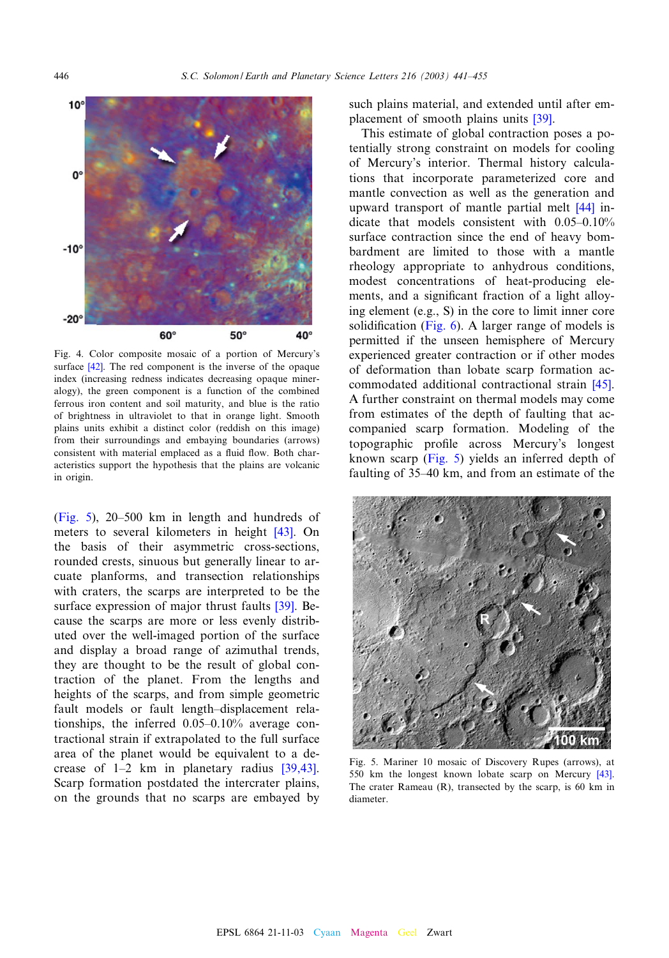<span id="page-5-0"></span>

Fig. 4. Color composite mosaic of a portion of Mercury's surface [42]. The red component is the inverse of the opaque index (increasing redness indicates decreasing opaque mineralogy), the green component is a function of the combined ferrous iron content and soil maturity, and blue is the ratio of brightness in ultraviolet to that in orange light. Smooth plains units exhibit a distinct color (reddish on this image) from their surroundings and embaying boundaries (arrows) consistent with material emplaced as a fluid flow. Both characteristics support the hypothesis that the plains are volcanic in origin.

(Fig. 5),  $20-500$  km in length and hun[dred](#page-13-0)s of meters to several kilometers in height [43]. On the basis of their asymmetric cross-sections, rounded crests, sinuous but generally linear to arcuate planforms, and transection rela[tions](#page-12-0)hips with craters, the scarps are interpreted to be the surface expression of major thrust faults [39]. Because the scarps are more or less evenly distributed over the well-imaged portion of the surface and display a broad range of azimuthal trends, they are thought to be the result of global contraction of the planet. From the lengths and heights of the scarps, and from simple geometric fault models or fault length-displacement relationships, the inferred  $0.05-0.10\%$  average contractional strain if extrapolated to the full [surface](#page-12-0) area of the planet would be equivalent to a decrease of  $1-2$  km in planetary radius  $[39,43]$ . Scarp formation postdated the intercrater plains, on the grounds that no scarps are embayed by such plains material, and extende[d](#page-12-0) [unt](#page-12-0)il after emplacement of smooth plains units [39].

This estimate of global contraction poses a potentially strong constraint on models for cooling of Mercury's interior. Thermal history calculations that incorporate parameterized c[ore a](#page-13-0)nd mantle convection as well as the generation and upward transport of mantle partial melt [44] indicate that models consistent with  $0.05-0.10\%$ surface contraction since the end of heavy bombardment are limited to those with a mantle rheology appropriate to anhydrous conditions, modest concentrations of heat-producing elements, and a significant fraction of a light alloying element (e.g., S) in the core to limit inner core solidification (Fig.  $6$ ). A larger range of models is permitted if the unseen hemisphere of Mercury experienced greater contraction or if other m[odes](#page-13-0) of deformation than lobate scarp formation accommodated additional contractional strain [45]. A further constraint on thermal models may come from estimates of the depth of faulting that accompanied scarp formation. Modeling of the topographic pro¢le across Mercury's longest known scarp (Fig. 5) yields an inferred depth of faulting of 35-40 km, and from an estimate of the



Fig. 5. Mariner 10 mosaic of Discovery Rupes (arrows), at 550 km the longest known lobate scarp on Mercury [43]. The crater Rameau (R), transected by the scarp, is 60 km in diameter.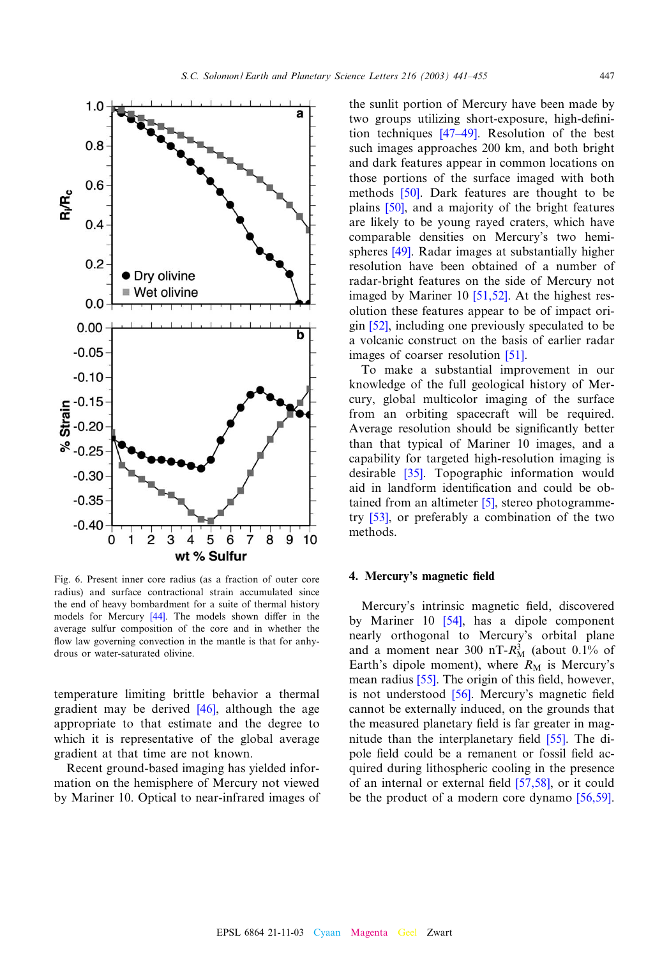<span id="page-6-0"></span>

Fig. 6. Present inner core radius (as a fraction of outer core radius) and surface [cont](#page-13-0)ractional strain accumulated since the end of heavy bombardment for a suite of thermal history models for Mercury  $[44]$ . The models shown differ in the average sulfur composition of the core and in whether the flow law governing convection in the mantle is that for anhydrous or water-saturated olivine.

temperature limiting britt[le](#page-13-0) [b](#page-13-0)ehavior a thermal gradient may be derived [46], although the age appropriate to that estimate and the degree to which it is representative of the global average gradient at that time are not known.

Recent ground-based imaging has yielded information on the hemisphere of Mercury not viewed by Mariner 10. Optical to near-infrared images of

the sunlit portio[n of Me](#page-13-0)rcury have been made by two groups utilizing short-exposure, high-definition techniques  $[47-49]$ . Resolution of the best such images approaches 200 km, and both bright and dark [feat](#page-13-0)ures appear in common locations on those [port](#page-13-0)ions of the surface imaged with both methods [50]. Dark features are thought to be plains [50], and a majority of the bright features are like[ly to](#page-13-0) be young rayed craters, which have comparable densities on Mercury's two hemispheres [49]. Radar images at substantially higher resolution have been [obtaine](#page-13-0)d of a number of radar-bright features on the side of Mercury not ima[ged](#page-13-0) by Mariner 10 [51,52]. At the highest resolution these features appear to be of impact origin [52], including one previo[usly](#page-13-0) speculated to be a volcanic construct on the basis of earlier radar images of coarser resolution [51].

To make a substantial improvement in our knowledge of the full geological history of Mercury, global multicolor imaging of the surface from an orbiting spacecraft will be required. Average resolution should be significantly better than that [typ](#page-12-0)ical of Mariner 10 images, and a capability for targeted high-resolution imaging is desirable [35]. Topogra[phi](#page-11-0)c information would aid [in l](#page-13-0)andform identification and could be obtained from an altimeter  $[5]$ , stereo photogrammetry [53], or preferably a combination of the two methods.

#### 4. Mercury's magnetic field

Mercury's intr[insic](#page-13-0) magnetic field, discovered by Mariner 10 [54], has a dipole component nearly orthogonal to Mercury's orbital plane and a mom[ent n](#page-13-0)ear 300 nT- $R_{\rm M}^3$  (about 0.1% of Earth's dipole mo[ment](#page-13-0)), where  $R_M$  is Mercury's mean radius  $[55]$ . The origin of this field, however, is not understood [56]. Mercury's magnetic field cannot be externally induced, on the [grou](#page-13-0)nds that the measured planetary field is far greater in magnitude than the interplanetary field  $[55]$ . The dipole field could be a remanen[t or fos](#page-13-0)sil field acquired during lithospheric cooling in the [presence](#page-13-0) of an internal or external field  $[57,58]$ , or it could be the product of a modern core dynamo [56,59].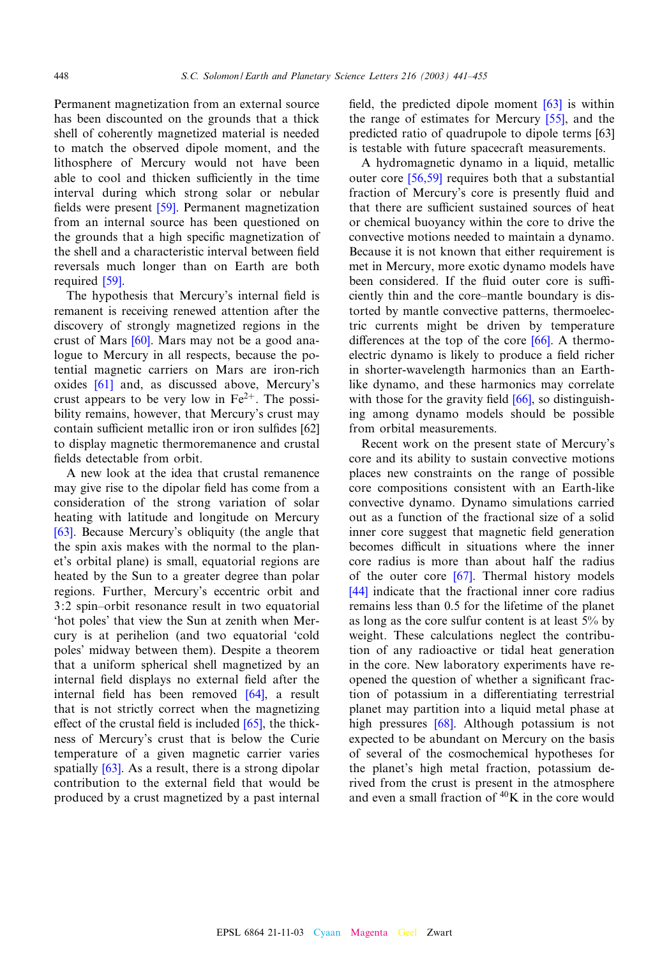Permanent magnetization from an external source has been discounted on the grounds that a thick shell of coherently magnetized material is needed to match the observed dipole moment, and the lithosphere of Mercury would not have been able to cool and t[hick](#page-13-0)en sufficiently in the time interval during which strong solar or nebular fields were present [59]. Permanent magnetization from an internal source has been questioned on the grounds that a high specific magnetization of the shell [and](#page-13-0) a characteristic interval between field reversals much longer than on Earth are both required [59].

The hypothesis that Mercury's internal field is remanent is r[eceiv](#page-13-0)ing renewed attention after the discovery of strongly magnetized regions in the crust of Mars [60]. Mars may not be a good analogue t[o M](#page-13-0)ercury in all respects, because the potential magnetic carriers on Mars are iron-rich oxides [61] and, as discussed above, Mercury's crust appears to be very low in  $Fe^{2+}$ . The p[ossi](#page-13-0)bility remains, however, that Mercury's crust may contain sufficient metallic iron or iron sulfides [62] to display magnetic thermoremanence and crustal fields detectable from orbit.

A new look at the idea that crustal remanence may give rise to the dipolar field has come from a [con](#page-13-0)sideration of the strong variation of solar heating with latitude and longitude on Mercury [63]. Because Mercury's obliquity (the angle that the spin axis makes with the normal to the planet's orbital plane) is small, equatorial regions are heated by the Sun to a greater degree than polar regions. Further, Mercury's eccentric orbit and 3:2 spin-orbit resonance result in two equatorial 'hot poles' that view the Sun at zenith when Mercury is at perihelion (and two equatorial 'cold poles' midway between them). Despite a theorem that a uniform spherical shell mag[neti](#page-13-0)zed by an internal field displays no external field after the internal field has been removed [\[64\]](#page-13-0), a result that is not strictly correct when the magnetizing effect of the crustal field is included  $[65]$ , the thickness of [Mer](#page-13-0)cury's crust that is below the Curie temperature of a given magnetic carrier varies spatially [63]. As a result, there is a strong dipolar contribution to the external field that would be produced by a crust magnetized by a past internal field, the predicted dipole moment  $[63]$  is wi[thin](#page-13-0) the range of estimates for Mercury [55], and the predicted ratio of quadrupole to dipole terms [63] is testable [with fu](#page-13-0)ture spacecraft measurements.

A hydromagnetic dynamo in a liquid, metallic outer core [56,59] requires both that a substantial fraction of Mercury's core is presently fluid and that there are sufficient sustained sources of heat or chemical buoyancy within the core to drive the convective motions needed to maintain a dynamo. Because it is not known that either requirement is met in Mercury, more exotic dynamo models have been considered. If the fluid outer core is sufficiently thin and the core^mantle boundary is distorted by mantle convective patte[rns,](#page-13-0) thermoelectric currents might be driven by temperature differences at the top of the core  $[66]$ . A thermoelectric dynamo is likely to produce a field richer in shorter-wavelength harmo[nics](#page-13-0) than an Earthlike dynamo, and these harmonics may correlate with those for the gravity field  $[66]$ , so distinguishing among dynamo models should be possible from orbital measurements.

Recent work on the present state of Mercury's core and its ability to sustain convective motions places new constraints on the range of possible core compositions consistent with an Earth-like convective dynamo. Dynamo simulations carried out as a function of the fractional size of a solid inner core suggest that magnetic field generation becomes difficult i[n si](#page-13-0)tuations where the inner [core](#page-13-0) radius is more than about half the radius of the outer core [67]. Thermal history models [44] indicate that the fractional inner core radius remains less than 0.5 for the lifetime of the planet as long as the core sulfur content is at least 5% by weight. These calculations neglect the contribution of any radioactive or tidal heat generation in the core. New laboratory experiments have reopened the question of whether a significant fraction of potassi[um](#page-13-0) in a differentiating terrestrial planet may partition into a liquid metal phase at high pressures [68]. Although potassium is not expected to be abundant on Mercury on the basis of several of the cosmochemical hypotheses for the planet's high metal fraction, potassium derived from the crust is present in the atmosphere and even a small fraction of 40K in the core would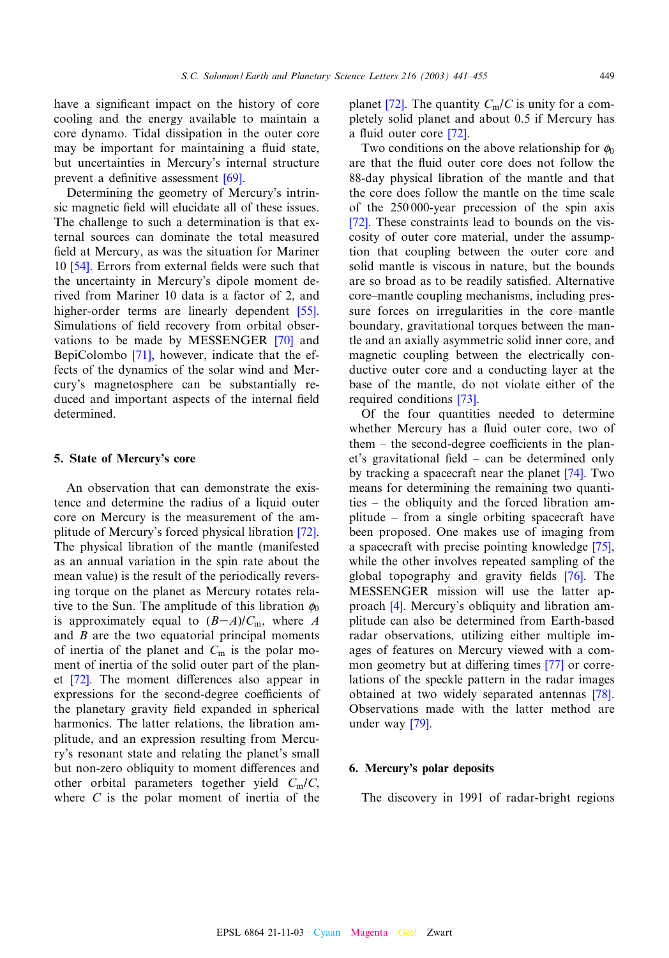have a significant impact on the history of core cooling and the energy available to maintain a core dynamo. Tidal dissipation in the outer core may be important for maintai[ning](#page-13-0) a fluid state, but uncertainties in Mercury's internal structure prevent a definitive assessment [69].

Determining the geometry of Mercury's intrinsic magnetic field will elucidate all of these issues. The challenge to such a determination is that exter[nal](#page-13-0) sources can dominate the total measured field at Mercury, as was the situation for Mariner 10 [54]. Errors from external fields were such that the uncertainty in Mercury's dipole momen[t de](#page-13-0)rived from Mariner 10 data is a factor of 2, and higher-order terms are linearly depend[ent](#page-13-0) [55]. Simulations of field recovery from orbital observations to be made by MESSENGER [70] and BepiColombo [71], however, indicate that the effects of the dynamics of the solar wind and Mercury's magnetosphere can be substantially reduced and important aspects of the internal field determined.

#### 5. State of Mercury's core

An observation that can demonstrate the existence and determine the radius of a liquid [outer](#page-13-0) core on Mercury is the measurement of the amplitude of Mercury's forced physical libration [72]. The physical libration of the mantle (manifested as an annual variation in the spin rate about the mean value) is the result of the periodically reversing torque on the planet as Mercury rotates relative to the Sun. The amplitude of this libration  $\phi_0$ is approximately equal to  $(B-A)/C_m$ , where A and  $B$  are the two equatorial principal moments of [iner](#page-13-0)tia of the planet and  $C_m$  is the polar moment of inertia of the solid outer part of the planet [72]. The moment differences also appear in expressions for the second-degree coefficients of the planetary gravity field expanded in spherical harmonics. The latter relations, the libration amplitude, and an expression resulting from Mercury's resonant state and relating the planet's small but non-zero obliquity to moment differences and other orbital parameters together yield  $C_m/C$ , where C is the polar moment of inertia of the

planet [72]. The q[uanti](#page-13-0)ty  $C_m/C$  is unity for a completely solid planet and about 0.5 if Mercury has a fluid outer core [72].

Two conditions on the above relationship for  $\phi_0$ are that the fluid outer core does not follow the 88-day physical libration of the mantle and that [the](#page-13-0) core does follow the mantle on the time scale of the 250 000-year precession of the spin axis [72]. These constraints lead to bounds on the viscosity of outer core material, under the assumption that coupling between the outer core and solid mantle is viscous in nature, but the bounds are so broad as to be readily satisfied. Alternative core–mantle coupling mechanisms, including pressure forces on irregularities in the core-mantle boundary, gravitational torques between the mantle and an axially asymmetric solid inner core, and magnetic coupling between the electrically conductive outer core [and](#page-13-0) a conducting layer at the base of the mantle, do not violate either of the required conditions [73].

Of the four quantities needed to determine whether Mercury has a fluid outer core, two of  $them - the second-degree coefficients in the plan them - the second-degree coefficients in the plan them - the second-degree coefficients in the plan$ et's gravitational field  $-$  can be determined only by tracking a spacecraft near the planet [74]. Two means for determining the remaining two quantities  $-$  the obliquity and the forced libration amplitude  $-$  from a single orbiting spacecraft [have](#page-13-0) been proposed. One makes use of imaging from a spacecraft with precise pointing know[ledge](#page-13-0) [75], while the other involves repeated sampling of the global [top](#page-11-0)ography and gravity fields [76]. The MESSENGER mission will use the latter approach [4]. Mercury's obliquity and libration amplitude can also be determined from Earth-based radar observations, utilizing either [mul](#page-14-0)tiple images of features on Mercury viewed with a common geometry but at differing times [77] or c[orre](#page-14-0)lations of the speckle pattern in the radar images obtained a[t tw](#page-14-0)o widely separated antennas [78]. Observations made with the latter method are under way [79].

## 6. Mercury's polar deposits

The discovery in 1991 of radar-bright regions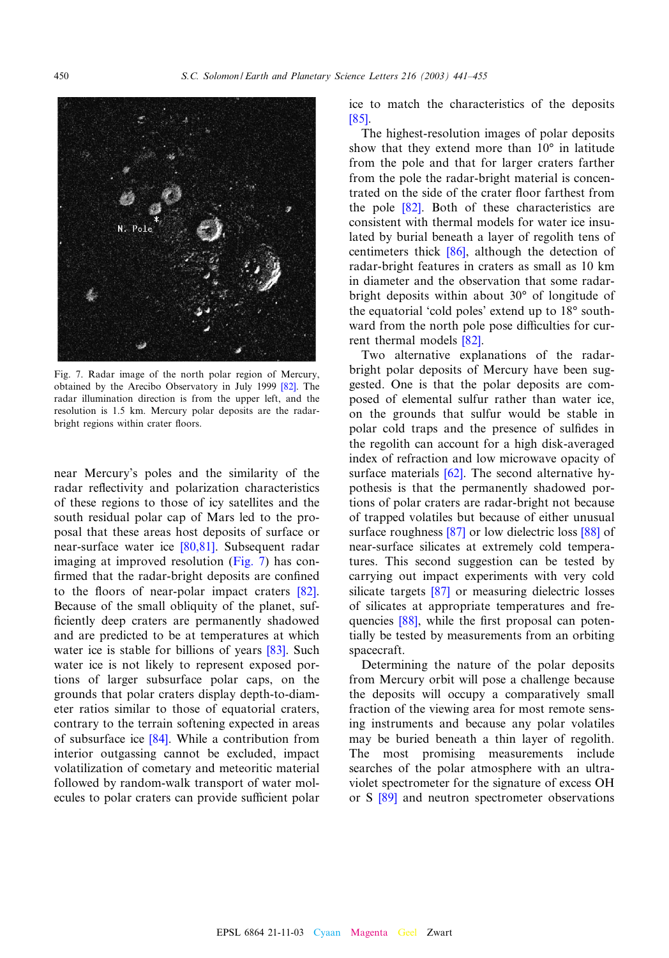

Fig. 7. Radar image of the north polar region of Mercury, obtained by the Arecibo Observatory in July 1999 [82]. The radar illumination direction is from the upper left, and the resolution is 1.5 km. Mercury polar deposits are the radarbright regions within crater floors.

near Mercury's poles and the similarity of the radar reflectivity and polarization characteristics of these regions to those of icy satellites and the south residual polar ca[p of M](#page-14-0)ars led to the proposal that these areas host deposits of surface or near-surface water ice [80,81]. Subsequent radar imaging at improved resolution (Fig. 7) has [con](#page-14-0) firmed that the radar-bright deposits are confined to the floors of near-polar impact craters  $[82]$ . Because of the small obliquity of the planet, suf ficiently deep craters are permanently [shad](#page-14-0)owed and are predicted to be at temperatures at which water ice is stable for billions of years [83]. Such water ice is not likely to represent exposed portions of larger subsurface polar caps, on the grounds that polar craters display depth-to-diameter ratios simila[r to](#page-14-0) those of equatorial craters, contrary to the terrain softening expected in areas of subsurface ice [84]. While a contribution from interior outgassing cannot be excluded, impact volatilization of cometary and meteoritic material followed by random-walk transport of water molecules to polar craters can provide sufficient polar [ice](#page-14-0) to match the characteristics of the deposits [85].

The highest-resolution images of polar deposits show that they extend more than  $10<sup>°</sup>$  in latitude from the pole and that for larger craters farther from the [pole](#page-14-0) the radar-bright material is concentrated on the side of the crater floor farthest from the pole [82]. Both of these characteristics are consistent with th[erma](#page-14-0)l models for water ice insulated by burial beneath a layer of regolith tens of centimeters thick [86], although the detection of radar-bright features in craters as small as 10 km in diameter and the observation that some radarbright deposits within about  $30^{\circ}$  of longitude of the equatorial 'cold [poles](#page-14-0)' extend up to  $18°$  southward from the north pole pose difficulties for current thermal models [82].

Two alternative explanations of the radarbright polar deposits of Mercury have been suggested. One is that the polar deposits are composed of elemental sulfur rather than water ice, on the grounds that sulfur would be stable in polar cold traps and the presence of sulfides in the regolith can [accou](#page-13-0)nt for a high disk-averaged index of refraction and low microwave opacity of surface materials [62]. The second alternative hypothesis is that the permanently shadowed portions of polar crat[ers a](#page-14-0)re radar-bright not b[ecau](#page-14-0)se of trapped volatiles but because of either unusual surface roughness [87] or low dielectric loss [88] of near-surface silicates at extremely cold temperatures. This sec[ond](#page-14-0) suggestion can be tested by carrying out impact experiments with very cold silicate t[arget](#page-14-0)s [87] or measuring dielectric losses of silicates at appropriate temperatures and frequencies [88], while the first proposal can potentially be tested by measurements from an orbiting spacecraft.

Determining the nature of the polar deposits from Mercury orbit will pose a challenge because the deposits will occupy a comparatively small fraction of the viewing area for most remote sensing instruments and because any polar volatiles may be buried beneath a thin layer of regolith. The most promising measurements include searc[hes](#page-14-0) of the polar atmosphere with an ultraviolet spectrometer for the signature of excess OH or S [89] and neutron spectrometer observations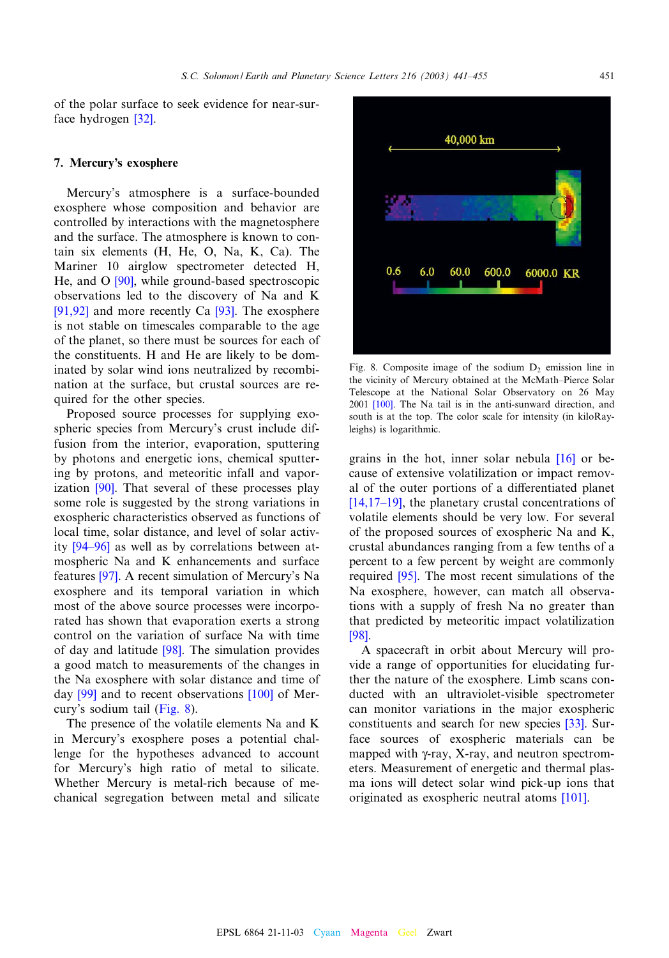of the polar su[rface](#page-12-0) to seek evidence for near-surface hydrogen [32].

# 7. Mercury's exosphere

Mercury's atmosphere is a surface-bounded exosphere whose composition and behavior are controlled by interactions with the magnetosphere and the surface. The atmosphere is known to contain six el[emen](#page-14-0)ts (H, He, O, Na, K, Ca). The Mariner 10 airglow spectrometer detected H, [He, an](#page-14-0)d O [90], while ground[-base](#page-14-0)d spectroscopic observations led to the discovery of Na and K [91,92] and more recently Ca [93]. The exosphere is not stable on timescales comparable to the age of the planet, so there must be sources for each of the constituents. H and He are likely to be dominated by solar wind ions neutralized by recombination at the surface, but crustal sources are required for the other species.

Proposed source processes for supplying exospheric species from Mercury's crust include diffusion from the interior, evaporation, sputtering by pho[tons](#page-14-0) and energetic ions, chemical sputtering by protons, and meteoritic infall and vaporization [90]. That several of these processes play some role is suggested by the strong variations in exo[spheric](#page-14-0) characteristics observed as functions of local time, solar distance, and level of solar activity  $[94-96]$  $[94-96]$  as well as by correlations between atmospheric Na and K enhancements and surface features [97]. A recent simulation of Mercury's Na exosphere and its temporal variation in which most of the above source processes were incorporated has shown th[at ev](#page-14-0)aporation exerts a strong control on the variation of surface Na with time of day and latitude [98]. The simulation provides a g[ood m](#page-14-0)atch to measurements of t[he ch](#page-14-0)anges in the Na exosphere with solar distance and time of day [99] and to recent observations [100] of Mercury's sodium tail (Fig. 8).

The presence of the volatile elements Na and K in Mercury's exosphere poses a potential challenge for the hypotheses advanced to account for Mercury's high ratio of metal to silicate. Whether Mercury is metal-rich because of mechanical segregation between metal and silicate



Fig. 8. Composite image of the sodium  $D_2$  emission line in the v[icinity](#page-14-0) of Mercury obtained at the McMath-Pierce Solar Telescope at the National Solar Observatory on 26 May 2001 [100]. The Na tail is in the anti-sunward direction, and south is at the top. The color scale for intensity (in kiloRayleighs) is logarithmic.

grains in the hot, inner solar nebula  $[16]$  or be[cause of e](#page-12-0)xtensive volatilization or impact removal of the outer portions of a differentiated planet  $[14,17-19]$ , the planetary crustal concentrations of volatile elements should be very low. For several of the proposed sources of exospheric Na and K, crustal a[bund](#page-14-0)ances ranging from a few tenths of a percent to a few percent by weight are commonly required [95]. The most recent simulations of the Na exosphere, however, can match all observa[tion](#page-14-0)s with a supply of fresh Na no greater than that predicted by meteoritic impact volatilization [98].

A spacecraft in orbit about Mercury will provide a range of opportunities for elucidating further the nature of the exosphere. Limb scans conducted with an ultraviolet-visible spe[ctro](#page-12-0)meter can monitor variations in the major exospheric constituents and search for new species [33]. Surface sources of exospheric materials can be mapped with  $\gamma$ -ray, X-ray, and neutron spectrometers. Measurement of energetic and the[rmal](#page-14-0) plasma ions will detect solar wind pick-up ions that originated as exospheric neutral atoms [101].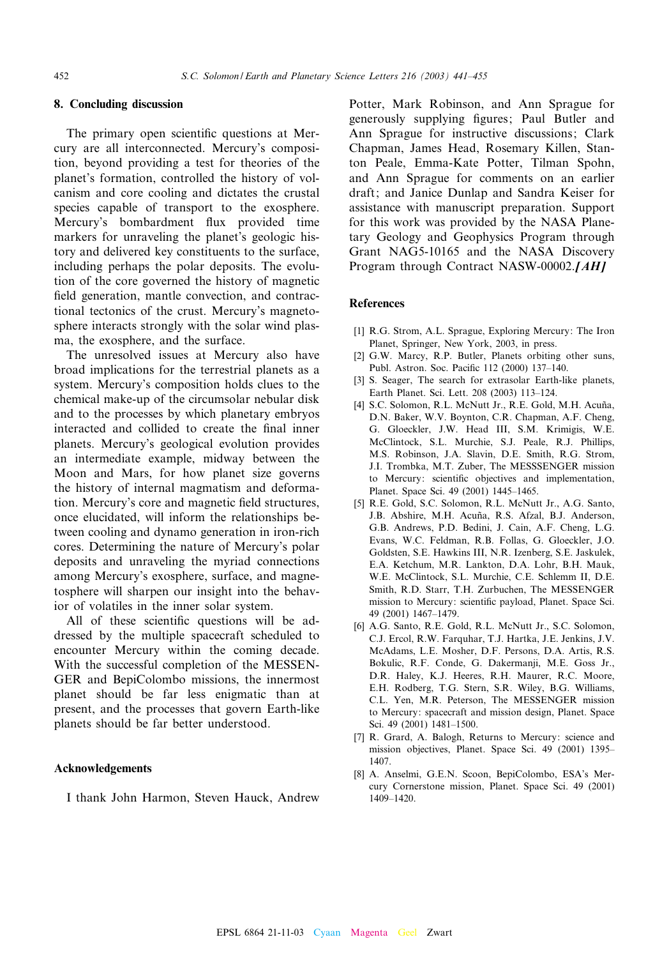# <span id="page-11-0"></span>8. Concluding discussion

The primary open scientific questions at Mercury are all interconnected. Mercury's composition, beyond providing a test for theories of the planet's formation, controlled the history of volcanism and core cooling and dictates the crustal species capable of transport to the exosphere. Mercury's bombardment flux provided time markers for unraveling the planet's geologic history and delivered key constituents to the surface, including perhaps the polar deposits. The evolution of the core governed the history of magnetic field generation, mantle convection, and contractional tectonics of the crust. Mercury's magnetosphere interacts strongly with the solar wind plasma, the exosphere, and the surface.

The unresolved issues at Mercury also have broad implications for the terrestrial planets as a system. Mercury's composition holds clues to the chemical make-up of the circumsolar nebular disk and to the processes by which planetary embryos interacted and collided to create the final inner planets. Mercury's geological evolution provides an intermediate example, midway between the Moon and Mars, for how planet size governs the history of internal magmatism and deformation. Mercury's core and magnetic field structures, once elucidated, will inform the relationships between cooling and dynamo generation in iron-rich cores. Determining the nature of Mercury's polar deposits and unraveling the myriad connections among Mercury's exosphere, surface, and magnetosphere will sharpen our insight into the behavior of volatiles in the inner solar system.

All of these scientific questions will be addressed by the multiple spacecraft scheduled to encounter Mercury within the coming decade. With the successful completion of the MESSEN-GER and BepiColombo missions, the innermost planet should be far less enigmatic than at present, and the processes that govern Earth-like planets should be far better understood.

#### Acknowledgements

I thank John Harmon, Steven Hauck, Andrew

Potter, Mark Robinson, and Ann Sprague for generously supplying ¢gures; Paul Butler and Ann Sprague for instructive discussions; Clark Chapman, James Head, Rosemary Killen, Stanton Peale, Emma-Kate Potter, Tilman Spohn, and Ann Sprague for comments on an earlier draft; and Janice Dunlap and Sandra Keiser for assistance with manuscript preparation. Support for this work was provided by the NASA Planetary Geology and Geophysics Program through Grant NAG5-10165 and the NASA Discovery Program through Contract NASW-00002.[AH]

#### References

- [1] R.G. Strom, A.L. Sprague, Exploring Mercury: The Iron Planet, Springer, New York, 2003, in press.
- [2] G.W. Marcy, R.P. Butler, Planets orbiting other suns, Publ. Astron. Soc. Pacific 112 (2000) 137-140.
- [3] S. Seager, The search for extrasolar Earth-like planets, Earth Planet. Sci. Lett. 208 (2003) 113^124.
- [4] S.C. Solomon, R.L. McNutt Jr., R.E. Gold, M.H. Acuña, D.N. Baker, W.V. Boynton, C.R. Chapman, A.F. Cheng, G. Gloeckler, J.W. Head III, S.M. Krimigis, W.E. McClintock, S.L. Murchie, S.J. Peale, R.J. Phillips, M.S. Robinson, J.A. Slavin, D.E. Smith, R.G. Strom, J.I. Trombka, M.T. Zuber, The MESSSENGER mission to Mercury: scientific objectives and implementation, Planet. Space Sci. 49 (2001) 1445-1465.
- [5] R.E. Gold, S.C. Solomon, R.L. McNutt Jr., A.G. Santo, J.B. Abshire, M.H. Acuña, R.S. Afzal, B.J. Anderson, G.B. Andrews, P.D. Bedini, J. Cain, A.F. Cheng, L.G. Evans, W.C. Feldman, R.B. Follas, G. Gloeckler, J.O. Goldsten, S.E. Hawkins III, N.R. Izenberg, S.E. Jaskulek, E.A. Ketchum, M.R. Lankton, D.A. Lohr, B.H. Mauk, W.E. McClintock, S.L. Murchie, C.E. Schlemm II, D.E. Smith, R.D. Starr, T.H. Zurbuchen, The MESSENGER mission to Mercury: scientific payload, Planet. Space Sci. 49 (2001) 1467^1479.
- [6] A.G. Santo, R.E. Gold, R.L. McNutt Jr., S.C. Solomon, C.J. Ercol, R.W. Farquhar, T.J. Hartka, J.E. Jenkins, J.V. McAdams, L.E. Mosher, D.F. Persons, D.A. Artis, R.S. Bokulic, R.F. Conde, G. Dakermanji, M.E. Goss Jr., D.R. Haley, K.J. Heeres, R.H. Maurer, R.C. Moore, E.H. Rodberg, T.G. Stern, S.R. Wiley, B.G. Williams, C.L. Yen, M.R. Peterson, The MESSENGER mission to Mercury: spacecraft and mission design, Planet. Space Sci. 49 (2001) 1481-1500.
- [7] R. Grard, A. Balogh, Returns to Mercury: science and mission objectives, Planet. Space Sci. 49 (2001) 1395– 1407.
- [8] A. Anselmi, G.E.N. Scoon, BepiColombo, ESA's Mercury Cornerstone mission, Planet. Space Sci. 49 (2001) 1409^1420.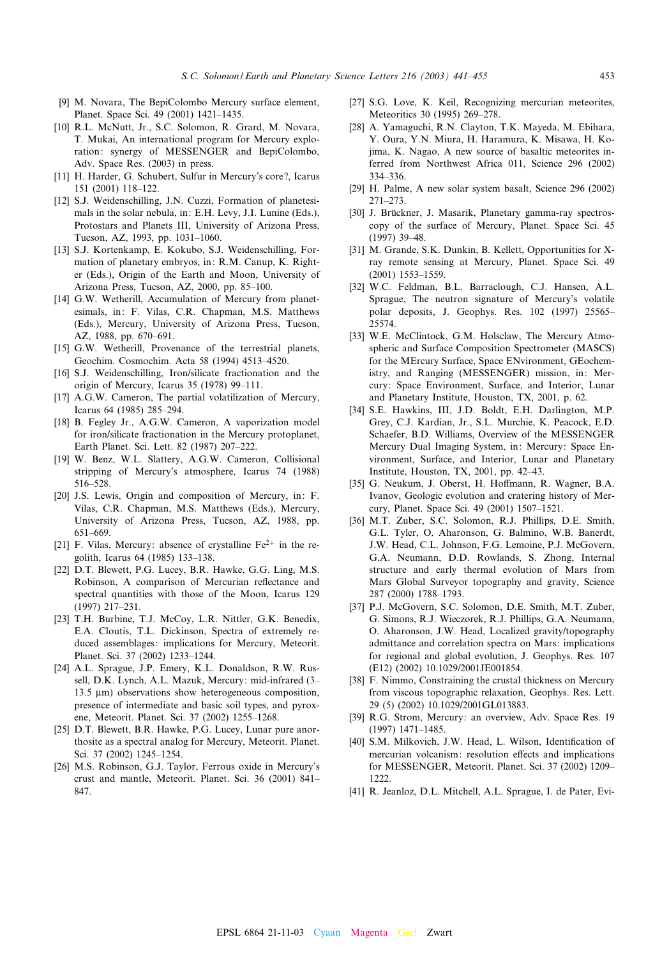- <span id="page-12-0"></span>[9] M. Novara, The BepiColombo Mercury surface element, Planet. Space Sci. 49 (2001) 1421^1435.
- [10] R.L. McNutt, Jr., S.C. Solomon, R. Grard, M. Novara, T. Mukai, An international program for Mercury exploration: synergy of MESSENGER and BepiColombo, Adv. Space Res. (2003) in press.
- [11] H. Harder, G. Schubert, Sulfur in Mercury's core?, Icarus 151 (2001) 118^122.
- [12] S.J. Weidenschilling, J.N. Cuzzi, Formation of planetesimals in the solar nebula, in: E.H. Levy, J.I. Lunine (Eds.), Protostars and Planets III, University of Arizona Press, Tucson, AZ, 1993, pp. 1031-1060.
- [13] S.J. Kortenkamp, E. Kokubo, S.J. Weidenschilling, Formation of planetary embryos, in: R.M. Canup, K. Righter (Eds.), Origin of the Earth and Moon, University of Arizona Press, Tucson, AZ, 2000, pp. 85-100.
- [14] G.W. Wetherill, Accumulation of Mercury from planetesimals, in: F. Vilas, C.R. Chapman, M.S. Matthews (Eds.), Mercury, University of Arizona Press, Tucson, AZ, 1988, pp. 670-691.
- [15] G.W. Wetherill, Provenance of the terrestrial planets, Geochim. Cosmochim. Acta 58 (1994) 4513^4520.
- [16] S.J. Weidenschilling, Iron/silicate fractionation and the origin of Mercury, Icarus 35 (1978) 99-111.
- [17] A.G.W. Cameron, The partial volatilization of Mercury, Icarus 64 (1985) 285^294.
- [18] B. Fegley Jr., A.G.W. Cameron, A vaporization model for iron/silicate fractionation in the Mercury protoplanet, Earth Planet. Sci. Lett. 82 (1987) 207-222.
- [19] W. Benz, W.L. Slattery, A.G.W. Cameron, Collisional stripping of Mercury's atmosphere, Icarus 74 (1988) 516^528.
- [20] J.S. Lewis, Origin and composition of Mercury, in: F. Vilas, C.R. Chapman, M.S. Matthews (Eds.), Mercury, University of Arizona Press, Tucson, AZ, 1988, pp. 651^669.
- [21] F. Vilas, Mercury: absence of crystalline  $Fe^{2+}$  in the regolith, Icarus 64 (1985) 133^138.
- [22] D.T. Blewett, P.G. Lucey, B.R. Hawke, G.G. Ling, M.S. Robinson, A comparison of Mercurian reflectance and spectral quantities with those of the Moon, Icarus 129  $(1997)$  217-231.
- [23] T.H. Burbine, T.J. McCoy, L.R. Nittler, G.K. Benedix, E.A. Cloutis, T.L. Dickinson, Spectra of extremely reduced assemblages: implications for Mercury, Meteorit. Planet. Sci. 37 (2002) 1233^1244.
- [24] A.L. Sprague, J.P. Emery, K.L. Donaldson, R.W. Russell, D.K. Lynch, A.L. Mazuk, Mercury: mid-infrared (3^ 13.5 µm) observations show heterogeneous composition, presence of intermediate and basic soil types, and pyroxene, Meteorit. Planet. Sci. 37 (2002) 1255^1268.
- [25] D.T. Blewett, B.R. Hawke, P.G. Lucey, Lunar pure anorthosite as a spectral analog for Mercury, Meteorit. Planet. Sci. 37 (2002) 1245-1254.
- [26] M.S. Robinson, G.J. Taylor, Ferrous oxide in Mercury's crust and mantle, Meteorit. Planet. Sci. 36(2001) 841^ 847.
- [27] S.G. Love, K. Keil, Recognizing mercurian meteorites, Meteoritics 30 (1995) 269-278.
- [28] A. Yamaguchi, R.N. Clayton, T.K. Mayeda, M. Ebihara, Y. Oura, Y.N. Miura, H. Haramura, K. Misawa, H. Kojima, K. Nagao, A new source of basaltic meteorites inferred from Northwest Africa 011, Science 296 (2002) 334^336.
- [29] H. Palme, A new solar system basalt, Science 296(2002) 271^273.
- [30] J. Brückner, J. Masarik, Planetary gamma-ray spectroscopy of the surface of Mercury, Planet. Space Sci. 45  $(1997)$  39-48.
- [31] M. Grande, S.K. Dunkin, B. Kellett, Opportunities for Xray remote sensing at Mercury, Planet. Space Sci. 49 (2001) 1553-1559.
- [32] W.C. Feldman, B.L. Barraclough, C.J. Hansen, A.L. Sprague, The neutron signature of Mercury's volatile polar deposits, J. Geophys. Res. 102 (1997) 25565^ 25574.
- [33] W.E. McClintock, G.M. Holsclaw, The Mercury Atmospheric and Surface Composition Spectrometer (MASCS) for the MErcury Surface, Space ENvironment, GEochemistry, and Ranging (MESSENGER) mission, in: Mercury: Space Environment, Surface, and Interior, Lunar and Planetary Institute, Houston, TX, 2001, p. 62.
- [34] S.E. Hawkins, III, J.D. Boldt, E.H. Darlington, M.P. Grey, C.J. Kardian, Jr., S.L. Murchie, K. Peacock, E.D. Schaefer, B.D. Williams, Overview of the MESSENGER Mercury Dual Imaging System, in: Mercury: Space Environment, Surface, and Interior, Lunar and Planetary Institute, Houston, TX, 2001, pp. 42^43.
- [35] G. Neukum, J. Oberst, H. Hoffmann, R. Wagner, B.A. Ivanov, Geologic evolution and cratering history of Mercury, Planet. Space Sci. 49 (2001) 1507^1521.
- [36] M.T. Zuber, S.C. Solomon, R.J. Phillips, D.E. Smith, G.L. Tyler, O. Aharonson, G. Balmino, W.B. Banerdt, J.W. Head, C.L. Johnson, F.G. Lemoine, P.J. McGovern, G.A. Neumann, D.D. Rowlands, S. Zhong, Internal structure and early thermal evolution of Mars from Mars Global Surveyor topography and gravity, Science 287 (2000) 1788^1793.
- [37] P.J. McGovern, S.C. Solomon, D.E. Smith, M.T. Zuber, G. Simons, R.J. Wieczorek, R.J. Phillips, G.A. Neumann, O. Aharonson, J.W. Head, Localized gravity/topography admittance and correlation spectra on Mars: implications for regional and global evolution, J. Geophys. Res. 107 (E12) (2002) 10.1029/2001JE001854.
- [38] F. Nimmo, Constraining the crustal thickness on Mercury from viscous topographic relaxation, Geophys. Res. Lett. 29 (5) (2002) 10.1029/2001GL013883.
- [39] R.G. Strom, Mercury: an overview, Adv. Space Res. 19 (1997) 1471-1485.
- [40] S.M. Milkovich, J.W. Head, L. Wilson, Identification of mercurian volcanism: resolution effects and implications for MESSENGER, Meteorit. Planet. Sci. 37 (2002) 1209^ 1222.
- [41] R. Jeanloz, D.L. Mitchell, A.L. Sprague, I. de Pater, Evi-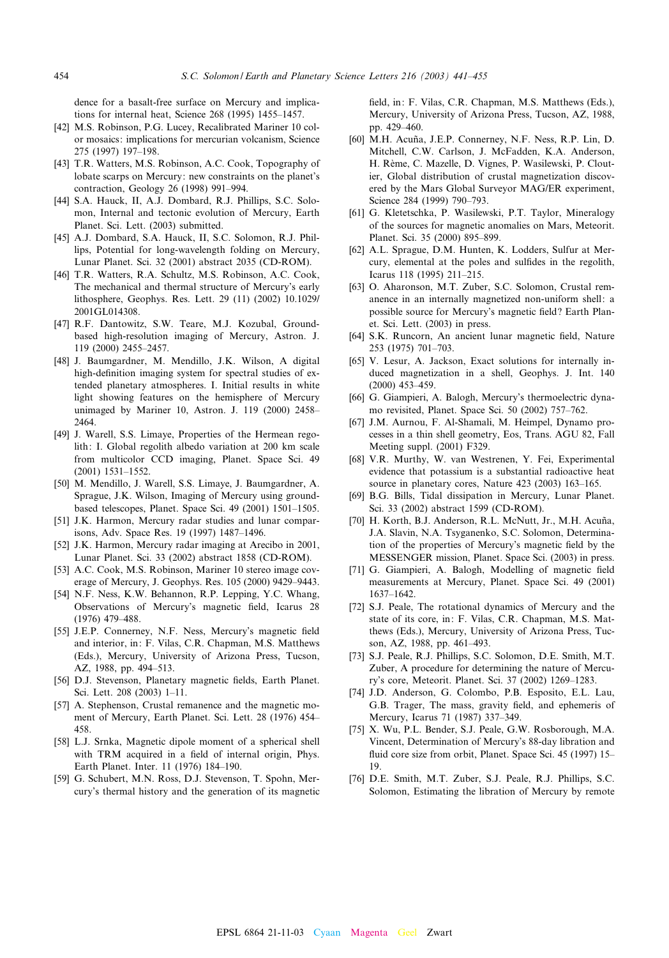<span id="page-13-0"></span>dence for a basalt-free surface on Mercury and implications for internal heat, Science 268 (1995) 1455^1457.

- [42] M.S. Robinson, P.G. Lucey, Recalibrated Mariner 10 color mosaics: implications for mercurian volcanism, Science 275 (1997) 197^198.
- [43] T.R. Watters, M.S. Robinson, A.C. Cook, Topography of lobate scarps on Mercury: new constraints on the planet's contraction, Geology 26 (1998) 991-994.
- [44] S.A. Hauck, II, A.J. Dombard, R.J. Phillips, S.C. Solomon, Internal and tectonic evolution of Mercury, Earth Planet. Sci. Lett. (2003) submitted.
- [45] A.J. Dombard, S.A. Hauck, II, S.C. Solomon, R.J. Phillips, Potential for long-wavelength folding on Mercury, Lunar Planet. Sci. 32 (2001) abstract 2035 (CD-ROM).
- [46] T.R. Watters, R.A. Schultz, M.S. Robinson, A.C. Cook, The mechanical and thermal structure of Mercury's early lithosphere, Geophys. Res. Lett. 29 (11) (2002) 10.1029/ 2001GL014308.
- [47] R.F. Dantowitz, S.W. Teare, M.J. Kozubal, Groundbased high-resolution imaging of Mercury, Astron. J. 119 (2000) 2455^2457.
- [48] J. Baumgardner, M. Mendillo, J.K. Wilson, A digital high-definition imaging system for spectral studies of extended planetary atmospheres. I. Initial results in white light showing features on the hemisphere of Mercury unimaged by Mariner 10, Astron. J. 119 (2000) 2458^ 2464.
- [49] J. Warell, S.S. Limaye, Properties of the Hermean regolith: I. Global regolith albedo variation at 200 km scale from multicolor CCD imaging, Planet. Space Sci. 49 (2001) 1531^1552.
- [50] M. Mendillo, J. Warell, S.S. Limaye, J. Baumgardner, A. Sprague, J.K. Wilson, Imaging of Mercury using groundbased telescopes, Planet. Space Sci. 49 (2001) 1501-1505.
- [51] J.K. Harmon, Mercury radar studies and lunar comparisons, Adv. Space Res. 19 (1997) 1487-1496.
- [52] J.K. Harmon, Mercury radar imaging at Arecibo in 2001, Lunar Planet. Sci. 33 (2002) abstract 1858 (CD-ROM).
- [53] A.C. Cook, M.S. Robinson, Mariner 10 stereo image coverage of Mercury, J. Geophys. Res. 105 (2000) 9429^9443.
- [54] N.F. Ness, K.W. Behannon, R.P. Lepping, Y.C. Whang, Observations of Mercury's magnetic field, Icarus 28 (1976) 479-488.
- [55] J.E.P. Connerney, N.F. Ness, Mercury's magnetic field and interior, in: F. Vilas, C.R. Chapman, M.S. Matthews (Eds.), Mercury, University of Arizona Press, Tucson, AZ, 1988, pp. 494-513.
- [56] D.J. Stevenson, Planetary magnetic fields, Earth Planet. Sci. Lett. 208 (2003) 1-11.
- [57] A. Stephenson, Crustal remanence and the magnetic moment of Mercury, Earth Planet. Sci. Lett. 28 (1976) 454^ 458.
- [58] L.J. Srnka, Magnetic dipole moment of a spherical shell with TRM acquired in a field of internal origin, Phys. Earth Planet. Inter. 11 (1976) 184^190.
- [59] G. Schubert, M.N. Ross, D.J. Stevenson, T. Spohn, Mercury's thermal history and the generation of its magnetic

field, in: F. Vilas, C.R. Chapman, M.S. Matthews (Eds.), Mercury, University of Arizona Press, Tucson, AZ, 1988, pp. 429-460.

- [60] M.H. Acuña, J.E.P. Connerney, N.F. Ness, R.P. Lin, D. Mitchell, C.W. Carlson, J. McFadden, K.A. Anderson, H. Rème, C. Mazelle, D. Vignes, P. Wasilewski, P. Cloutier, Global distribution of crustal magnetization discovered by the Mars Global Surveyor MAG/ER experiment, Science 284 (1999) 790-793.
- [61] G. Kletetschka, P. Wasilewski, P.T. Taylor, Mineralogy of the sources for magnetic anomalies on Mars, Meteorit. Planet. Sci. 35 (2000) 895^899.
- [62] A.L. Sprague, D.M. Hunten, K. Lodders, Sulfur at Mercury, elemental at the poles and sulfides in the regolith, Icarus 118 (1995) 211^215.
- [63] O. Aharonson, M.T. Zuber, S.C. Solomon, Crustal remanence in an internally magnetized non-uniform shell: a possible source for Mercury's magnetic field? Earth Planet. Sci. Lett. (2003) in press.
- [64] S.K. Runcorn, An ancient lunar magnetic field, Nature 253 (1975) 701^703.
- [65] V. Lesur, A. Jackson, Exact solutions for internally induced magnetization in a shell, Geophys. J. Int. 140  $(2000)$  453-459.
- [66] G. Giampieri, A. Balogh, Mercury's thermoelectric dynamo revisited, Planet. Space Sci. 50 (2002) 757-762.
- [67] J.M. Aurnou, F. Al-Shamali, M. Heimpel, Dynamo processes in a thin shell geometry, Eos, Trans. AGU 82, Fall Meeting suppl. (2001) F329.
- [68] V.R. Murthy, W. van Westrenen, Y. Fei, Experimental evidence that potassium is a substantial radioactive heat source in planetary cores, Nature 423 (2003) 163-165.
- [69] B.G. Bills, Tidal dissipation in Mercury, Lunar Planet. Sci. 33 (2002) abstract 1599 (CD-ROM).
- [70] H. Korth, B.J. Anderson, R.L. McNutt, Jr., M.H. Acuña, J.A. Slavin, N.A. Tsyganenko, S.C. Solomon, Determination of the properties of Mercury's magnetic field by the MESSENGER mission, Planet. Space Sci. (2003) in press.
- [71] G. Giampieri, A. Balogh, Modelling of magnetic field measurements at Mercury, Planet. Space Sci. 49 (2001) 1637^1642.
- [72] S.J. Peale, The rotational dynamics of Mercury and the state of its core, in: F. Vilas, C.R. Chapman, M.S. Matthews (Eds.), Mercury, University of Arizona Press, Tucson, AZ, 1988, pp. 461^493.
- [73] S.J. Peale, R.J. Phillips, S.C. Solomon, D.E. Smith, M.T. Zuber, A procedure for determining the nature of Mercury's core, Meteorit. Planet. Sci. 37 (2002) 1269^1283.
- [74] J.D. Anderson, G. Colombo, P.B. Esposito, E.L. Lau, G.B. Trager, The mass, gravity field, and ephemeris of Mercury, Icarus 71 (1987) 337–349.
- [75] X. Wu, P.L. Bender, S.J. Peale, G.W. Rosborough, M.A. Vincent, Determination of Mercury's 88-day libration and fluid core size from orbit, Planet. Space Sci. 45 (1997) 15– 19.
- [76] D.E. Smith, M.T. Zuber, S.J. Peale, R.J. Phillips, S.C. Solomon, Estimating the libration of Mercury by remote